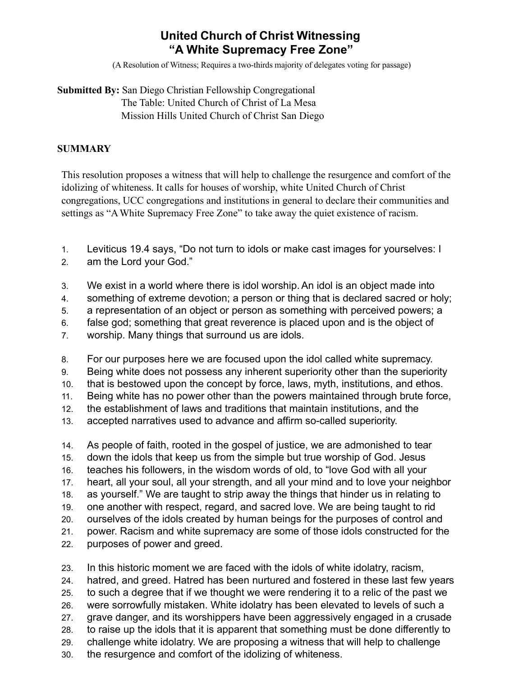# **United Church of Christ Witnessing "A White Supremacy Free Zone"**

(A Resolution of Witness; Requires a two-thirds majority of delegates voting for passage)

### **Submitted By:** San Diego Christian Fellowship Congregational The Table: United Church of Christ of La Mesa Mission Hills United Church of Christ San Diego

#### **SUMMARY**

This resolution proposes a witness that will help to challenge the resurgence and comfort of the idolizing of whiteness. It calls for houses of worship, white United Church of Christ congregations, UCC congregations and institutions in general to declare their communities and settings as "AWhite Supremacy Free Zone" to take away the quiet existence of racism.

- 1. Leviticus 19.4 says, "Do not turn to idols or make cast images for yourselves: I
- 2. am the Lord your God."
- 3. We exist in a world where there is idol worship.An idol is an object made into
- 4. something of extreme devotion; a person or thing that is declared sacred or holy;
- 5. a representation of an object or person as something with perceived powers; a
- 6. false god; something that great reverence is placed upon and is the object of
- 7. worship. Many things that surround us are idols.

8. For our purposes here we are focused upon the idol called white supremacy.

- 9. Being white does not possess any inherent superiority other than the superiority
- 10. that is bestowed upon the concept by force, laws, myth, institutions, and ethos.
- 11. Being white has no power other than the powers maintained through brute force,
- 12. the establishment of laws and traditions that maintain institutions, and the
- 13. accepted narratives used to advance and affirm so-called superiority.
- 14. As people of faith, rooted in the gospel of justice, we are admonished to tear 15. down the idols that keep us from the simple but true worship of God. Jesus
- 16. teaches his followers, in the wisdom words of old, to "love God with all your
- 17. heart, all your soul, all your strength, and all your mind and to love your neighbor
- 18. as yourself." We are taught to strip away the things that hinder us in relating to
- 19. one another with respect, regard, and sacred love. We are being taught to rid
- 20. ourselves of the idols created by human beings for the purposes of control and
- 21. power. Racism and white supremacy are some of those idols constructed for the
- 22. purposes of power and greed.
- 23. In this historic moment we are faced with the idols of white idolatry, racism,
- 24. hatred, and greed. Hatred has been nurtured and fostered in these last few years
- 25. to such a degree that if we thought we were rendering it to a relic of the past we
- 26. were sorrowfully mistaken. White idolatry has been elevated to levels of such a
- 27. grave danger, and its worshippers have been aggressively engaged in a crusade
- 28. to raise up the idols that it is apparent that something must be done differently to
- 29. challenge white idolatry. We are proposing a witness that will help to challenge
- 30. the resurgence and comfort of the idolizing of whiteness.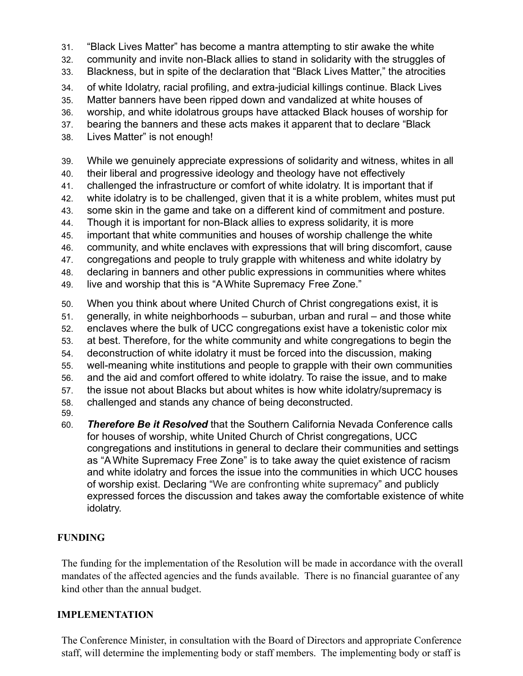- 31. "Black Lives Matter" has become a mantra attempting to stir awake the white
- 32. community and invite non-Black allies to stand in solidarity with the struggles of
- 33. Blackness, but in spite of the declaration that "Black Lives Matter," the atrocities
- 34. of white Idolatry, racial profiling, and extra-judicial killings continue. Black Lives
- 35. Matter banners have been ripped down and vandalized at white houses of
- 36. worship, and white idolatrous groups have attacked Black houses of worship for
- 37. bearing the banners and these acts makes it apparent that to declare "Black
- 38. Lives Matter" is not enough!
- 39. While we genuinely appreciate expressions of solidarity and witness, whites in all
- 40. their liberal and progressive ideology and theology have not effectively
- 41. challenged the infrastructure or comfort of white idolatry. It is important that if
- 42. white idolatry is to be challenged, given that it is a white problem, whites must put
- 43. some skin in the game and take on a different kind of commitment and posture.
- 44. Though it is important for non-Black allies to express solidarity, it is more
- 45. important that white communities and houses of worship challenge the white
- 46. community, and white enclaves with expressions that will bring discomfort, cause
- 47. congregations and people to truly grapple with whiteness and white idolatry by
- 48. declaring in banners and other public expressions in communities where whites
- 49. live and worship that this is "A White Supremacy Free Zone."
- 50. When you think about where United Church of Christ congregations exist, it is
- 51. generally, in white neighborhoods suburban, urban and rural and those white
- 52. enclaves where the bulk of UCC congregations exist have a tokenistic color mix
- 53. at best. Therefore, for the white community and white congregations to begin the
- 54. deconstruction of white idolatry it must be forced into the discussion, making
- 55. well-meaning white institutions and people to grapple with their own communities
- 56. and the aid and comfort offered to white idolatry. To raise the issue, and to make
- 57. the issue not about Blacks but about whites is how white idolatry/supremacy is
- 58. challenged and stands any chance of being deconstructed.
- 59.
- 60. *Therefore Be it Resolved* that the Southern California Nevada Conference calls for houses of worship, white United Church of Christ congregations, UCC congregations and institutions in general to declare their communities and settings as "A White Supremacy Free Zone" is to take away the quiet existence of racism and white idolatry and forces the issue into the communities in which UCC houses of worship exist. Declaring "We are confronting white supremacy" and publicly expressed forces the discussion and takes away the comfortable existence of white idolatry.

# **FUNDING**

The funding for the implementation of the Resolution will be made in accordance with the overall mandates of the affected agencies and the funds available. There is no financial guarantee of any kind other than the annual budget.

# **IMPLEMENTATION**

The Conference Minister, in consultation with the Board of Directors and appropriate Conference staff, will determine the implementing body or staff members. The implementing body or staff is